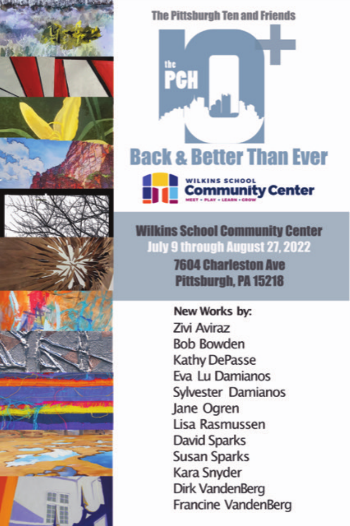

**The Pittsburgh Ten and Friends** 



**Wilkins School Community Center July 9 through August 27, 2022 7604 Charleston Ave** Pittsburgh, PA 15218

> New Works by: **Zivi Aviraz Bob Bowden Kathy DePasse** Eva Lu Damianos Sylvester Damianos Jane Ogren Lisa Rasmussen **David Sparks Susan Sparks** Kara Snyder **Dirk VandenBerg** Francine VandenBerg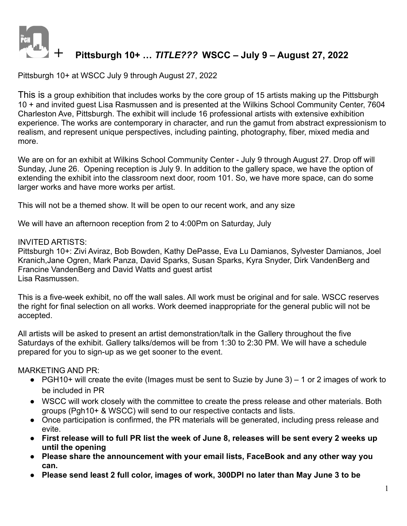

# **+ Pittsburgh 10+ …** *TITLE???* **WSCC – July <sup>9</sup> – August 27, <sup>2022</sup>**

Pittsburgh 10+ at WSCC July 9 through August 27, 2022

This is a group exhibition that includes works by the core group of 15 artists making up the Pittsburgh 10 + and invited guest Lisa Rasmussen and is presented at the Wilkins School Community Center, 7604 Charleston Ave, Pittsburgh. The exhibit will include 16 professional artists with extensive exhibition experience. The works are contemporary in character, and run the gamut from abstract expressionism to realism, and represent unique perspectives, including painting, photography, fiber, mixed media and more.

We are on for an exhibit at Wilkins School Community Center - July 9 through August 27. Drop off will Sunday, June 26. Opening reception is July 9. In addition to the gallery space, we have the option of extending the exhibit into the classroom next door, room 101. So, we have more space, can do some larger works and have more works per artist.

This will not be a themed show. It will be open to our recent work, and any size

We will have an afternoon reception from 2 to 4:00Pm on Saturday, July

## INVITED ARTISTS:

Pittsburgh 10+: Zivi Aviraz, Bob Bowden, Kathy DePasse, Eva Lu Damianos, Sylvester Damianos, Joel Kranich,Jane Ogren, Mark Panza, David Sparks, Susan Sparks, Kyra Snyder, Dirk VandenBerg and Francine VandenBerg and David Watts and guest artist Lisa Rasmussen.

This is a five-week exhibit, no off the wall sales. All work must be original and for sale. WSCC reserves the right for final selection on all works. Work deemed inappropriate for the general public will not be accepted.

All artists will be asked to present an artist demonstration/talk in the Gallery throughout the five Saturdays of the exhibit. Gallery talks/demos will be from 1:30 to 2:30 PM. We will have a schedule prepared for you to sign-up as we get sooner to the event.

MARKETING AND PR:

- PGH10+ will create the evite (Images must be sent to Suzie by June 3) 1 or 2 images of work to be included in PR
- WSCC will work closely with the committee to create the press release and other materials. Both groups (Pgh10+ & WSCC) will send to our respective contacts and lists.
- Once participation is confirmed, the PR materials will be generated, including press release and evite.
- **● First release will to full PR list the week of June 8, releases will be sent every 2 weeks up until the opening**
- **● Please share the announcement with your email lists, FaceBook and any other way you can.**
- **● Please send least 2 full color, images of work, 300DPI no later than May June 3 to be**